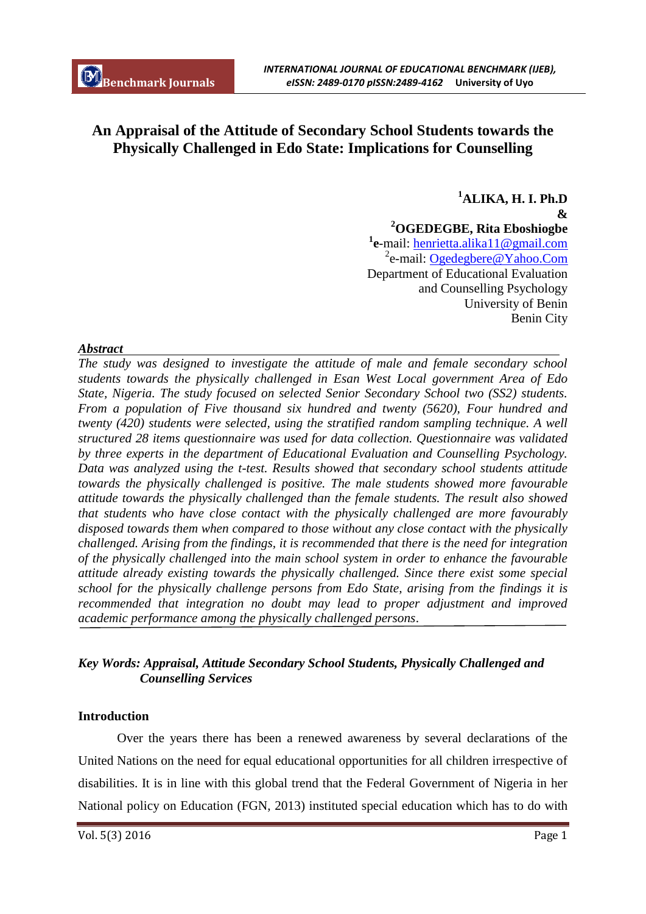# **An Appraisal of the Attitude of Secondary School Students towards the Physically Challenged in Edo State: Implications for Counselling**

**<sup>1</sup>ALIKA, H. I. Ph.D & <sup>2</sup>OGEDEGBE, Rita Eboshiogbe 1 e**-mail: henrietta.alika11@gmail.com <sup>2</sup>e-mail: Ogedegbere@Yahoo.Com Department of Educational Evaluation and Counselling Psychology University of Benin Benin City

## *Abstract*

*The study was designed to investigate the attitude of male and female secondary school students towards the physically challenged in Esan West Local government Area of Edo State, Nigeria. The study focused on selected Senior Secondary School two (SS2) students. From a population of Five thousand six hundred and twenty (5620), Four hundred and twenty (420) students were selected, using the stratified random sampling technique. A well structured 28 items questionnaire was used for data collection. Questionnaire was validated by three experts in the department of Educational Evaluation and Counselling Psychology. Data was analyzed using the t-test. Results showed that secondary school students attitude towards the physically challenged is positive. The male students showed more favourable attitude towards the physically challenged than the female students. The result also showed that students who have close contact with the physically challenged are more favourably disposed towards them when compared to those without any close contact with the physically challenged. Arising from the findings, it is recommended that there is the need for integration of the physically challenged into the main school system in order to enhance the favourable attitude already existing towards the physically challenged. Since there exist some special school for the physically challenge persons from Edo State, arising from the findings it is recommended that integration no doubt may lead to proper adjustment and improved academic performance among the physically challenged persons*.

## *Key Words: Appraisal, Attitude Secondary School Students, Physically Challenged and Counselling Services*

## **Introduction**

Over the years there has been a renewed awareness by several declarations of the United Nations on the need for equal educational opportunities for all children irrespective of disabilities. It is in line with this global trend that the Federal Government of Nigeria in her National policy on Education (FGN, 2013) instituted special education which has to do with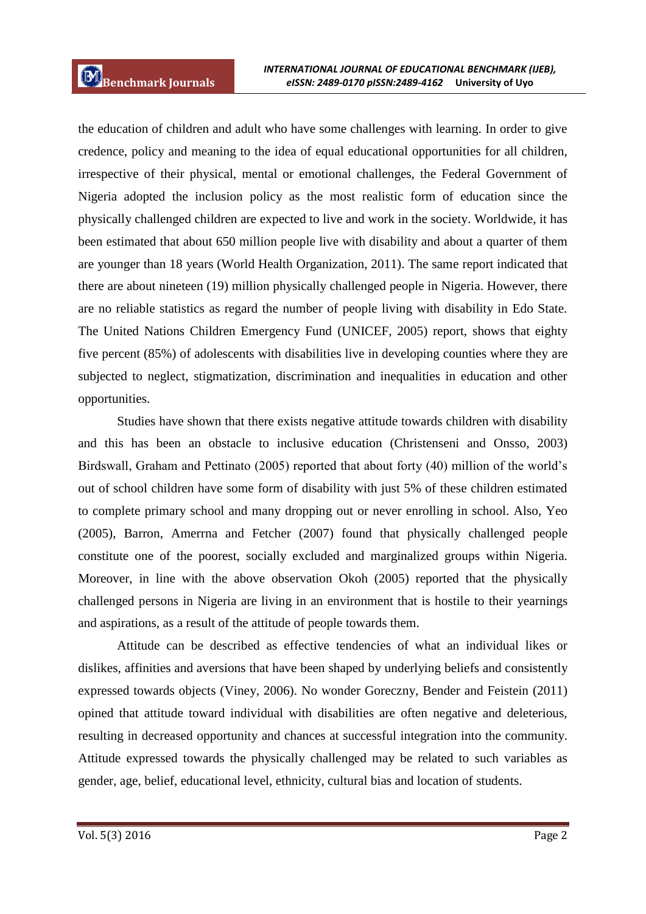the education of children and adult who have some challenges with learning. In order to give credence, policy and meaning to the idea of equal educational opportunities for all children, irrespective of their physical, mental or emotional challenges, the Federal Government of Nigeria adopted the inclusion policy as the most realistic form of education since the physically challenged children are expected to live and work in the society. Worldwide, it has been estimated that about 650 million people live with disability and about a quarter of them are younger than 18 years (World Health Organization, 2011). The same report indicated that there are about nineteen (19) million physically challenged people in Nigeria. However, there are no reliable statistics as regard the number of people living with disability in Edo State. The United Nations Children Emergency Fund (UNICEF, 2005) report, shows that eighty five percent (85%) of adolescents with disabilities live in developing counties where they are subjected to neglect, stigmatization, discrimination and inequalities in education and other opportunities.

Studies have shown that there exists negative attitude towards children with disability and this has been an obstacle to inclusive education (Christenseni and Onsso, 2003) Birdswall, Graham and Pettinato (2005) reported that about forty (40) million of the world's out of school children have some form of disability with just 5% of these children estimated to complete primary school and many dropping out or never enrolling in school. Also, Yeo (2005), Barron, Amerrna and Fetcher (2007) found that physically challenged people constitute one of the poorest, socially excluded and marginalized groups within Nigeria. Moreover, in line with the above observation Okoh (2005) reported that the physically challenged persons in Nigeria are living in an environment that is hostile to their yearnings and aspirations, as a result of the attitude of people towards them.

Attitude can be described as effective tendencies of what an individual likes or dislikes, affinities and aversions that have been shaped by underlying beliefs and consistently expressed towards objects (Viney, 2006). No wonder Goreczny, Bender and Feistein (2011) opined that attitude toward individual with disabilities are often negative and deleterious, resulting in decreased opportunity and chances at successful integration into the community. Attitude expressed towards the physically challenged may be related to such variables as gender, age, belief, educational level, ethnicity, cultural bias and location of students.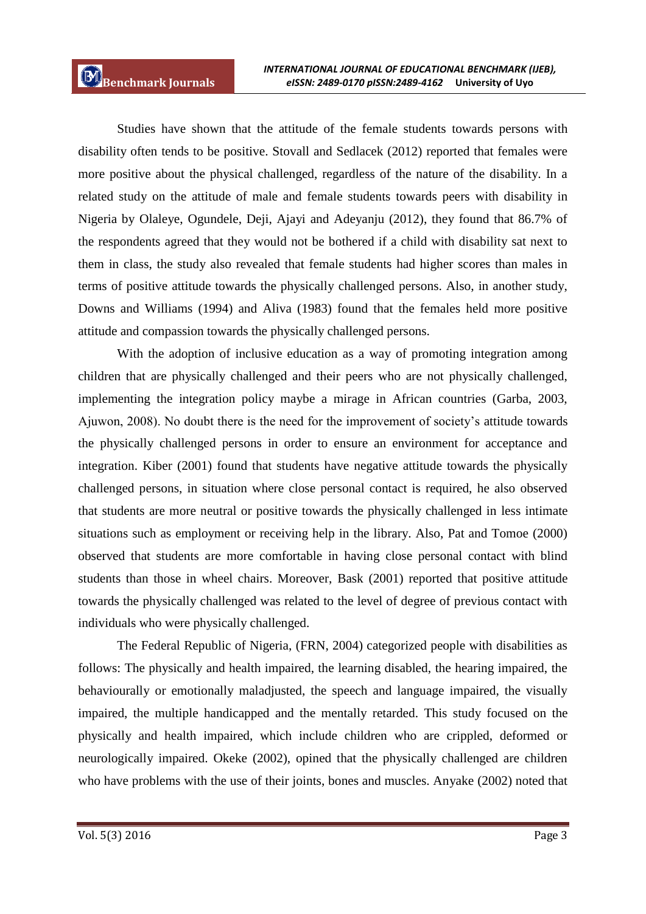Studies have shown that the attitude of the female students towards persons with disability often tends to be positive. Stovall and Sedlacek (2012) reported that females were more positive about the physical challenged, regardless of the nature of the disability. In a related study on the attitude of male and female students towards peers with disability in Nigeria by Olaleye, Ogundele, Deji, Ajayi and Adeyanju (2012), they found that 86.7% of the respondents agreed that they would not be bothered if a child with disability sat next to them in class, the study also revealed that female students had higher scores than males in terms of positive attitude towards the physically challenged persons. Also, in another study, Downs and Williams (1994) and Aliva (1983) found that the females held more positive attitude and compassion towards the physically challenged persons.

With the adoption of inclusive education as a way of promoting integration among children that are physically challenged and their peers who are not physically challenged, implementing the integration policy maybe a mirage in African countries (Garba, 2003, Ajuwon, 2008). No doubt there is the need for the improvement of society's attitude towards the physically challenged persons in order to ensure an environment for acceptance and integration. Kiber (2001) found that students have negative attitude towards the physically challenged persons, in situation where close personal contact is required, he also observed that students are more neutral or positive towards the physically challenged in less intimate situations such as employment or receiving help in the library. Also, Pat and Tomoe (2000) observed that students are more comfortable in having close personal contact with blind students than those in wheel chairs. Moreover, Bask (2001) reported that positive attitude towards the physically challenged was related to the level of degree of previous contact with individuals who were physically challenged.

The Federal Republic of Nigeria, (FRN, 2004) categorized people with disabilities as follows: The physically and health impaired, the learning disabled, the hearing impaired, the behaviourally or emotionally maladjusted, the speech and language impaired, the visually impaired, the multiple handicapped and the mentally retarded. This study focused on the physically and health impaired, which include children who are crippled, deformed or neurologically impaired. Okeke (2002), opined that the physically challenged are children who have problems with the use of their joints, bones and muscles. Anyake (2002) noted that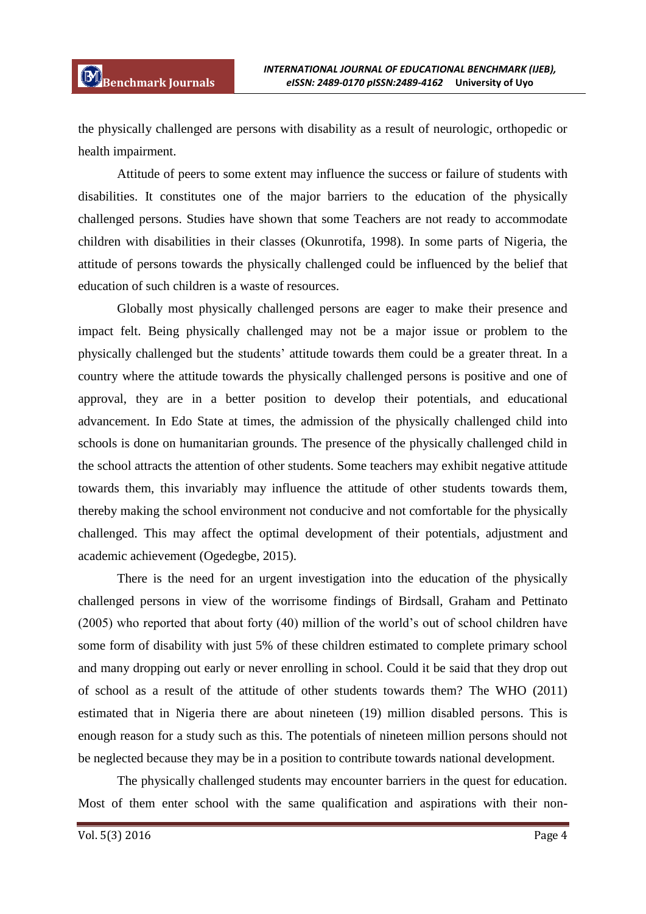the physically challenged are persons with disability as a result of neurologic, orthopedic or health impairment.

Attitude of peers to some extent may influence the success or failure of students with disabilities. It constitutes one of the major barriers to the education of the physically challenged persons. Studies have shown that some Teachers are not ready to accommodate children with disabilities in their classes (Okunrotifa, 1998). In some parts of Nigeria, the attitude of persons towards the physically challenged could be influenced by the belief that education of such children is a waste of resources.

Globally most physically challenged persons are eager to make their presence and impact felt. Being physically challenged may not be a major issue or problem to the physically challenged but the students' attitude towards them could be a greater threat. In a country where the attitude towards the physically challenged persons is positive and one of approval, they are in a better position to develop their potentials, and educational advancement. In Edo State at times, the admission of the physically challenged child into schools is done on humanitarian grounds. The presence of the physically challenged child in the school attracts the attention of other students. Some teachers may exhibit negative attitude towards them, this invariably may influence the attitude of other students towards them, thereby making the school environment not conducive and not comfortable for the physically challenged. This may affect the optimal development of their potentials, adjustment and academic achievement (Ogedegbe, 2015).

There is the need for an urgent investigation into the education of the physically challenged persons in view of the worrisome findings of Birdsall, Graham and Pettinato (2005) who reported that about forty (40) million of the world's out of school children have some form of disability with just 5% of these children estimated to complete primary school and many dropping out early or never enrolling in school. Could it be said that they drop out of school as a result of the attitude of other students towards them? The WHO (2011) estimated that in Nigeria there are about nineteen (19) million disabled persons. This is enough reason for a study such as this. The potentials of nineteen million persons should not be neglected because they may be in a position to contribute towards national development.

The physically challenged students may encounter barriers in the quest for education. Most of them enter school with the same qualification and aspirations with their non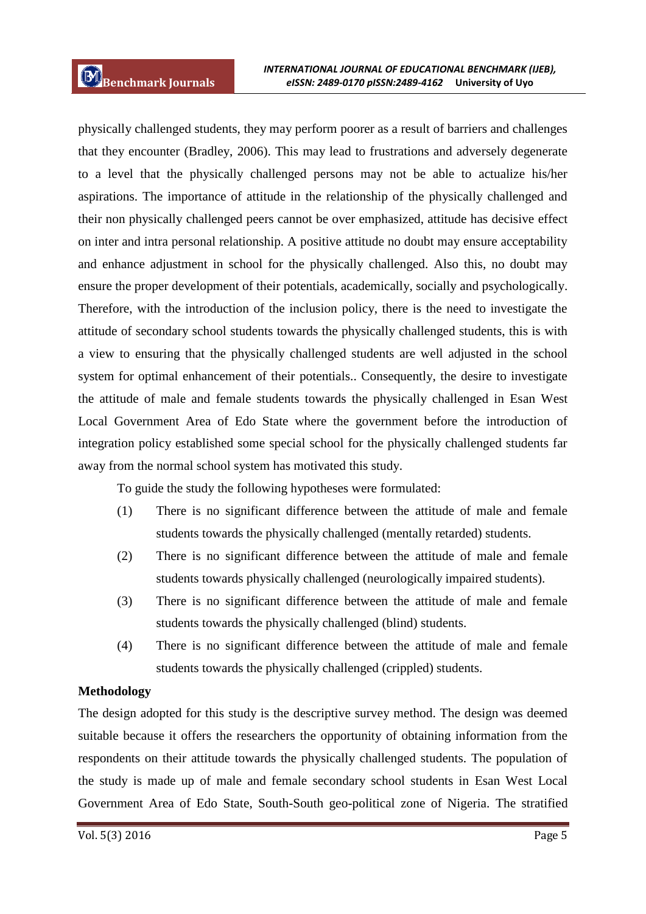physically challenged students, they may perform poorer as a result of barriers and challenges that they encounter (Bradley, 2006). This may lead to frustrations and adversely degenerate to a level that the physically challenged persons may not be able to actualize his/her aspirations. The importance of attitude in the relationship of the physically challenged and their non physically challenged peers cannot be over emphasized, attitude has decisive effect on inter and intra personal relationship. A positive attitude no doubt may ensure acceptability and enhance adjustment in school for the physically challenged. Also this, no doubt may ensure the proper development of their potentials, academically, socially and psychologically. Therefore, with the introduction of the inclusion policy, there is the need to investigate the attitude of secondary school students towards the physically challenged students, this is with a view to ensuring that the physically challenged students are well adjusted in the school system for optimal enhancement of their potentials.. Consequently, the desire to investigate the attitude of male and female students towards the physically challenged in Esan West Local Government Area of Edo State where the government before the introduction of integration policy established some special school for the physically challenged students far away from the normal school system has motivated this study.

To guide the study the following hypotheses were formulated:

- (1) There is no significant difference between the attitude of male and female students towards the physically challenged (mentally retarded) students.
- (2) There is no significant difference between the attitude of male and female students towards physically challenged (neurologically impaired students).
- (3) There is no significant difference between the attitude of male and female students towards the physically challenged (blind) students.
- (4) There is no significant difference between the attitude of male and female students towards the physically challenged (crippled) students.

## **Methodology**

The design adopted for this study is the descriptive survey method. The design was deemed suitable because it offers the researchers the opportunity of obtaining information from the respondents on their attitude towards the physically challenged students. The population of the study is made up of male and female secondary school students in Esan West Local Government Area of Edo State, South-South geo-political zone of Nigeria. The stratified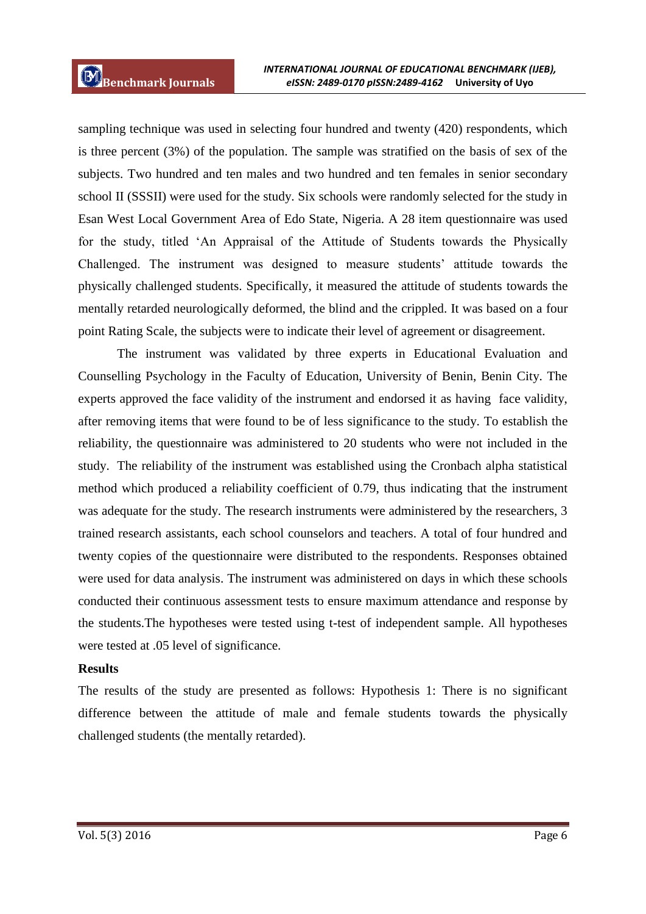sampling technique was used in selecting four hundred and twenty (420) respondents, which is three percent (3%) of the population. The sample was stratified on the basis of sex of the subjects. Two hundred and ten males and two hundred and ten females in senior secondary school II (SSSII) were used for the study. Six schools were randomly selected for the study in Esan West Local Government Area of Edo State, Nigeria. A 28 item questionnaire was used for the study, titled 'An Appraisal of the Attitude of Students towards the Physically Challenged. The instrument was designed to measure students' attitude towards the physically challenged students. Specifically, it measured the attitude of students towards the mentally retarded neurologically deformed, the blind and the crippled. It was based on a four point Rating Scale, the subjects were to indicate their level of agreement or disagreement.

The instrument was validated by three experts in Educational Evaluation and Counselling Psychology in the Faculty of Education, University of Benin, Benin City. The experts approved the face validity of the instrument and endorsed it as having face validity, after removing items that were found to be of less significance to the study. To establish the reliability, the questionnaire was administered to 20 students who were not included in the study. The reliability of the instrument was established using the Cronbach alpha statistical method which produced a reliability coefficient of 0.79, thus indicating that the instrument was adequate for the study. The research instruments were administered by the researchers, 3 trained research assistants, each school counselors and teachers. A total of four hundred and twenty copies of the questionnaire were distributed to the respondents. Responses obtained were used for data analysis. The instrument was administered on days in which these schools conducted their continuous assessment tests to ensure maximum attendance and response by the students.The hypotheses were tested using t-test of independent sample. All hypotheses were tested at .05 level of significance.

#### **Results**

The results of the study are presented as follows: Hypothesis 1: There is no significant difference between the attitude of male and female students towards the physically challenged students (the mentally retarded).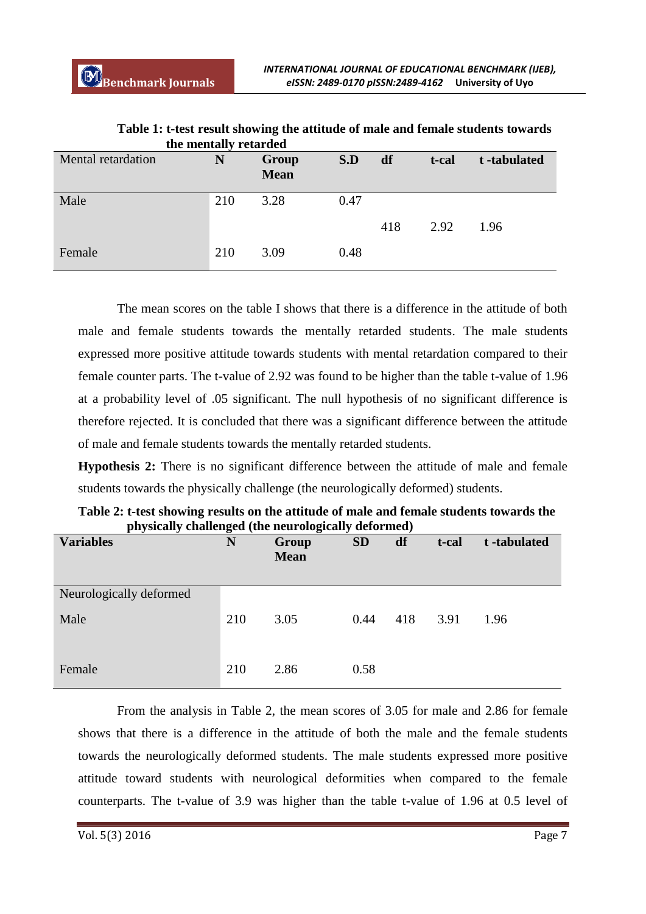| Mental retardation | —⊿<br>N | Group<br><b>Mean</b> | S.D  | df  | t-cal | t-tabulated |
|--------------------|---------|----------------------|------|-----|-------|-------------|
| Male               | 210     | 3.28                 | 0.47 | 418 | 2.92  | 1.96        |
| Female             | 210     | 3.09                 | 0.48 |     |       |             |

**Table 1: t-test result showing the attitude of male and female students towards the mentally retarded**

The mean scores on the table I shows that there is a difference in the attitude of both male and female students towards the mentally retarded students. The male students expressed more positive attitude towards students with mental retardation compared to their female counter parts. The t-value of 2.92 was found to be higher than the table t-value of 1.96 at a probability level of .05 significant. The null hypothesis of no significant difference is therefore rejected. It is concluded that there was a significant difference between the attitude of male and female students towards the mentally retarded students.

**Hypothesis 2:** There is no significant difference between the attitude of male and female students towards the physically challenge (the neurologically deformed) students.

| <b>Variables</b>        | $\circ$<br>N | $\bullet$<br>Group<br><b>Mean</b> | $\overline{\phantom{a}}$<br><b>SD</b> | df  | t-cal | t-tabulated |
|-------------------------|--------------|-----------------------------------|---------------------------------------|-----|-------|-------------|
| Neurologically deformed |              |                                   |                                       |     |       |             |
| Male                    | 210          | 3.05                              | 0.44                                  | 418 | 3.91  | 1.96        |
| Female                  | 210          | 2.86                              | 0.58                                  |     |       |             |

**Table 2: t-test showing results on the attitude of male and female students towards the physically challenged (the neurologically deformed)**

From the analysis in Table 2, the mean scores of 3.05 for male and 2.86 for female shows that there is a difference in the attitude of both the male and the female students towards the neurologically deformed students. The male students expressed more positive attitude toward students with neurological deformities when compared to the female counterparts. The t-value of 3.9 was higher than the table t-value of 1.96 at 0.5 level of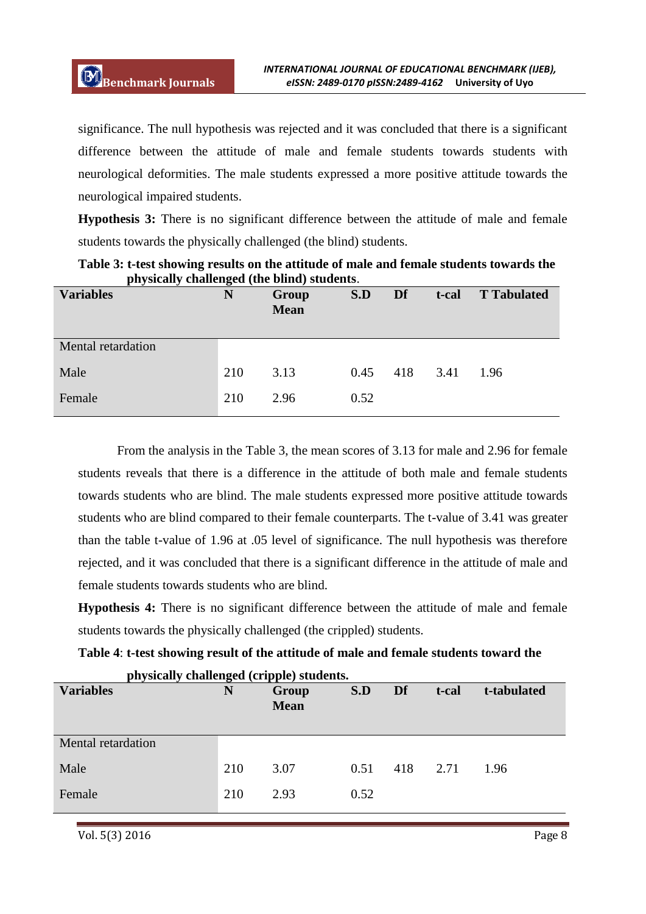significance. The null hypothesis was rejected and it was concluded that there is a significant difference between the attitude of male and female students towards students with neurological deformities. The male students expressed a more positive attitude towards the neurological impaired students.

**Hypothesis 3:** There is no significant difference between the attitude of male and female students towards the physically challenged (the blind) students.

| . .<br>$\bullet$<br><b>Variables</b> | ັ<br>N | Group<br><b>Mean</b> | S.D  | Df  | t-cal | <b>T</b> Tabulated |
|--------------------------------------|--------|----------------------|------|-----|-------|--------------------|
| Mental retardation                   |        |                      |      |     |       |                    |
| Male                                 | 210    | 3.13                 | 0.45 | 418 | 3.41  | 1.96               |
| Female                               | 210    | 2.96                 | 0.52 |     |       |                    |

**Table 3: t-test showing results on the attitude of male and female students towards the physically challenged (the blind) students**.

From the analysis in the Table 3, the mean scores of 3.13 for male and 2.96 for female students reveals that there is a difference in the attitude of both male and female students towards students who are blind. The male students expressed more positive attitude towards students who are blind compared to their female counterparts. The t-value of 3.41 was greater than the table t-value of 1.96 at .05 level of significance. The null hypothesis was therefore rejected, and it was concluded that there is a significant difference in the attitude of male and female students towards students who are blind.

**Hypothesis 4:** There is no significant difference between the attitude of male and female students towards the physically challenged (the crippled) students.

**Table 4**: **t-test showing result of the attitude of male and female students toward the** 

| <b>Variables</b>   | N   | Group<br><b>Mean</b> | S.D  | Df  | t-cal | t-tabulated |
|--------------------|-----|----------------------|------|-----|-------|-------------|
| Mental retardation |     |                      |      |     |       |             |
| Male               | 210 | 3.07                 | 0.51 | 418 | 2.71  | 1.96        |
| Female             | 210 | 2.93                 | 0.52 |     |       |             |

 **physically challenged (cripple) students.**

Vol. 5(3) 2016 Page 8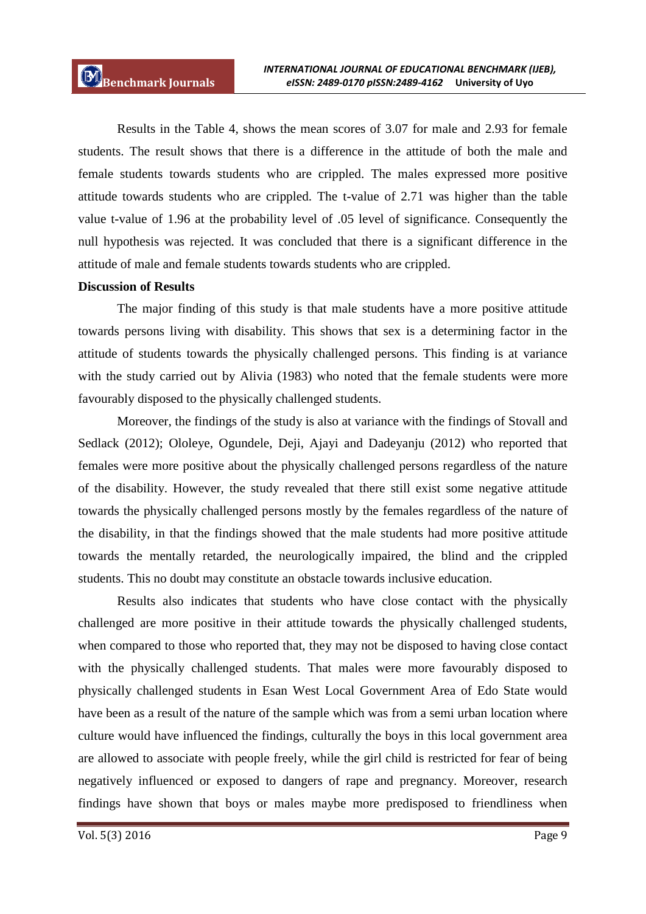Results in the Table 4, shows the mean scores of 3.07 for male and 2.93 for female students. The result shows that there is a difference in the attitude of both the male and female students towards students who are crippled. The males expressed more positive attitude towards students who are crippled. The t-value of 2.71 was higher than the table value t-value of 1.96 at the probability level of .05 level of significance. Consequently the null hypothesis was rejected. It was concluded that there is a significant difference in the attitude of male and female students towards students who are crippled.

#### **Discussion of Results**

The major finding of this study is that male students have a more positive attitude towards persons living with disability. This shows that sex is a determining factor in the attitude of students towards the physically challenged persons. This finding is at variance with the study carried out by Alivia (1983) who noted that the female students were more favourably disposed to the physically challenged students.

Moreover, the findings of the study is also at variance with the findings of Stovall and Sedlack (2012); Ololeye, Ogundele, Deji, Ajayi and Dadeyanju (2012) who reported that females were more positive about the physically challenged persons regardless of the nature of the disability. However, the study revealed that there still exist some negative attitude towards the physically challenged persons mostly by the females regardless of the nature of the disability, in that the findings showed that the male students had more positive attitude towards the mentally retarded, the neurologically impaired, the blind and the crippled students. This no doubt may constitute an obstacle towards inclusive education.

Results also indicates that students who have close contact with the physically challenged are more positive in their attitude towards the physically challenged students, when compared to those who reported that, they may not be disposed to having close contact with the physically challenged students. That males were more favourably disposed to physically challenged students in Esan West Local Government Area of Edo State would have been as a result of the nature of the sample which was from a semi urban location where culture would have influenced the findings, culturally the boys in this local government area are allowed to associate with people freely, while the girl child is restricted for fear of being negatively influenced or exposed to dangers of rape and pregnancy. Moreover, research findings have shown that boys or males maybe more predisposed to friendliness when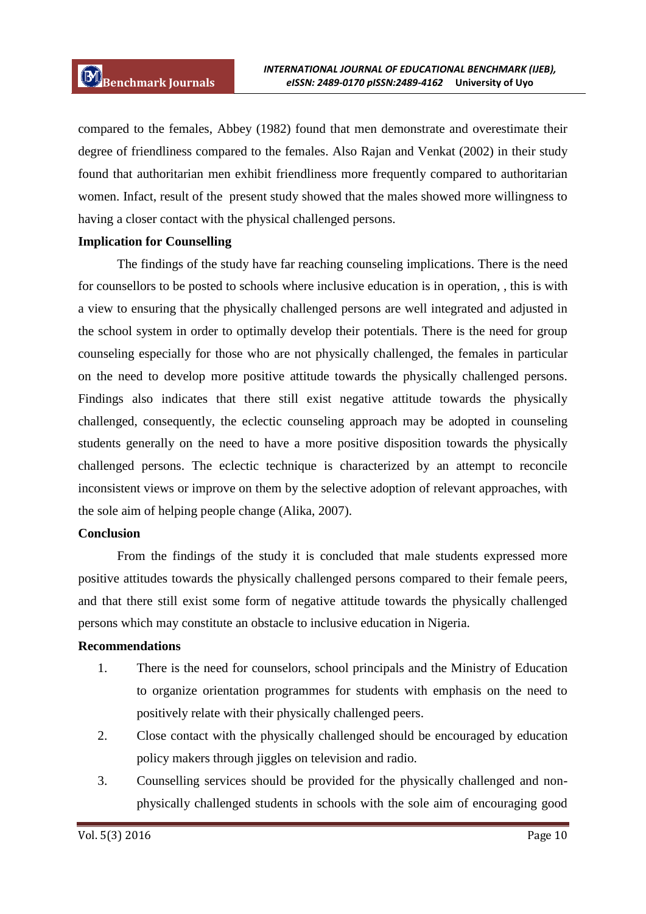compared to the females, Abbey (1982) found that men demonstrate and overestimate their degree of friendliness compared to the females. Also Rajan and Venkat (2002) in their study found that authoritarian men exhibit friendliness more frequently compared to authoritarian women. Infact, result of the present study showed that the males showed more willingness to having a closer contact with the physical challenged persons.

#### **Implication for Counselling**

The findings of the study have far reaching counseling implications. There is the need for counsellors to be posted to schools where inclusive education is in operation, , this is with a view to ensuring that the physically challenged persons are well integrated and adjusted in the school system in order to optimally develop their potentials. There is the need for group counseling especially for those who are not physically challenged, the females in particular on the need to develop more positive attitude towards the physically challenged persons. Findings also indicates that there still exist negative attitude towards the physically challenged, consequently, the eclectic counseling approach may be adopted in counseling students generally on the need to have a more positive disposition towards the physically challenged persons. The eclectic technique is characterized by an attempt to reconcile inconsistent views or improve on them by the selective adoption of relevant approaches, with the sole aim of helping people change (Alika, 2007).

#### **Conclusion**

From the findings of the study it is concluded that male students expressed more positive attitudes towards the physically challenged persons compared to their female peers, and that there still exist some form of negative attitude towards the physically challenged persons which may constitute an obstacle to inclusive education in Nigeria.

#### **Recommendations**

- 1. There is the need for counselors, school principals and the Ministry of Education to organize orientation programmes for students with emphasis on the need to positively relate with their physically challenged peers.
- 2. Close contact with the physically challenged should be encouraged by education policy makers through jiggles on television and radio.
- 3. Counselling services should be provided for the physically challenged and nonphysically challenged students in schools with the sole aim of encouraging good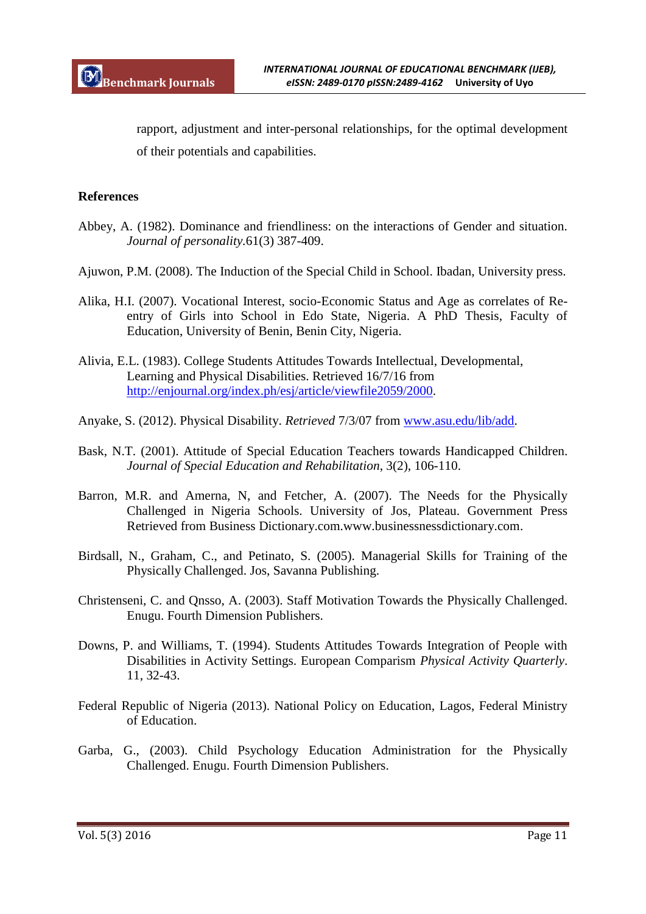rapport, adjustment and inter-personal relationships, for the optimal development of their potentials and capabilities.

### **References**

- Abbey, A. (1982). Dominance and friendliness: on the interactions of Gender and situation. *Journal of personality.*61(3) 387-409.
- Ajuwon, P.M. (2008). The Induction of the Special Child in School. Ibadan, University press.
- Alika, H.I. (2007). Vocational Interest, socio-Economic Status and Age as correlates of Reentry of Girls into School in Edo State, Nigeria. A PhD Thesis, Faculty of Education, University of Benin, Benin City, Nigeria.
- Alivia, E.L. (1983). College Students Attitudes Towards Intellectual, Developmental, Learning and Physical Disabilities. Retrieved 16/7/16 from http://enjournal.org/index.ph/esj/article/viewfile2059/2000.
- Anyake, S. (2012). Physical Disability. *Retrieved* 7/3/07 from www.asu.edu/lib/add.
- Bask, N.T. (2001). Attitude of Special Education Teachers towards Handicapped Children. *Journal of Special Education and Rehabilitation*, 3(2), 106-110.
- Barron, M.R. and Amerna, N, and Fetcher, A. (2007). The Needs for the Physically Challenged in Nigeria Schools. University of Jos, Plateau. Government Press Retrieved from Business Dictionary.com.www.businessnessdictionary.com.
- Birdsall, N., Graham, C., and Petinato, S. (2005). Managerial Skills for Training of the Physically Challenged. Jos, Savanna Publishing.
- Christenseni, C. and Qnsso, A. (2003). Staff Motivation Towards the Physically Challenged. Enugu. Fourth Dimension Publishers.
- Downs, P. and Williams, T. (1994). Students Attitudes Towards Integration of People with Disabilities in Activity Settings. European Comparism *Physical Activity Quarterly*. 11, 32-43.
- Federal Republic of Nigeria (2013). National Policy on Education, Lagos, Federal Ministry of Education.
- Garba, G., (2003). Child Psychology Education Administration for the Physically Challenged. Enugu. Fourth Dimension Publishers.